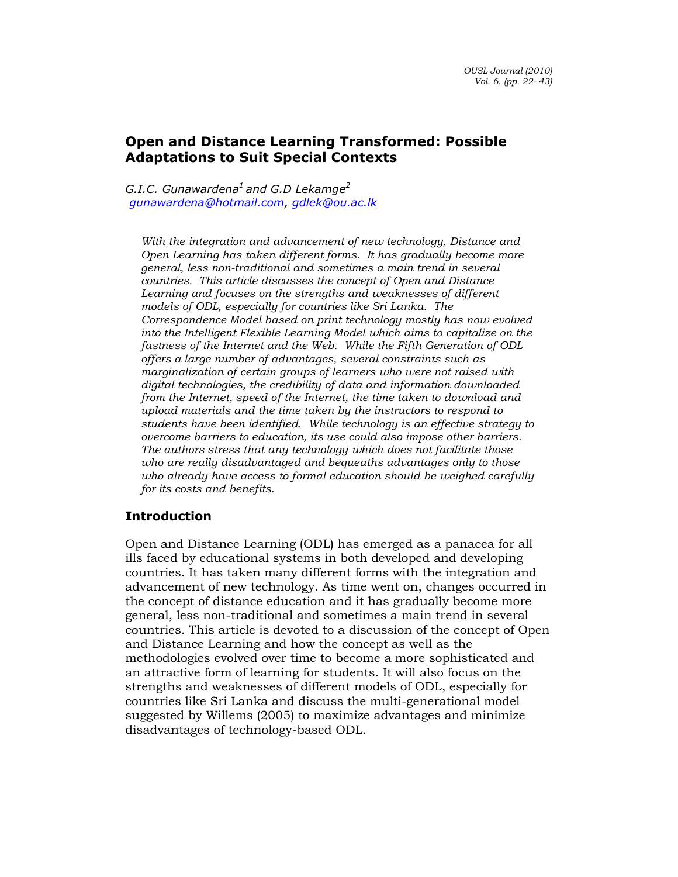# Open and Distance Learning Transformed: Possible Adaptations to Suit Special Contexts

G.I.C. Gunawardena<sup>1</sup> and G.D Lekamge<sup>2</sup> gunawardena@hotmail.com, gdlek@ou.ac.lk

With the integration and advancement of new technology, Distance and Open Learning has taken different forms. It has gradually become more general, less non-traditional and sometimes a main trend in several countries. This article discusses the concept of Open and Distance Learning and focuses on the strengths and weaknesses of different models of ODL, especially for countries like Sri Lanka. The Correspondence Model based on print technology mostly has now evolved into the Intelligent Flexible Learning Model which aims to capitalize on the fastness of the Internet and the Web. While the Fifth Generation of ODL offers a large number of advantages, several constraints such as marginalization of certain groups of learners who were not raised with digital technologies, the credibility of data and information downloaded from the Internet, speed of the Internet, the time taken to download and upload materials and the time taken by the instructors to respond to students have been identified. While technology is an effective strategy to overcome barriers to education, its use could also impose other barriers. The authors stress that any technology which does not facilitate those who are really disadvantaged and bequeaths advantages only to those who already have access to formal education should be weighed carefully for its costs and benefits.

# Introduction

Open and Distance Learning (ODL) has emerged as a panacea for all ills faced by educational systems in both developed and developing countries. It has taken many different forms with the integration and advancement of new technology. As time went on, changes occurred in the concept of distance education and it has gradually become more general, less non-traditional and sometimes a main trend in several countries. This article is devoted to a discussion of the concept of Open and Distance Learning and how the concept as well as the methodologies evolved over time to become a more sophisticated and an attractive form of learning for students. It will also focus on the strengths and weaknesses of different models of ODL, especially for countries like Sri Lanka and discuss the multi-generational model suggested by Willems (2005) to maximize advantages and minimize disadvantages of technology-based ODL.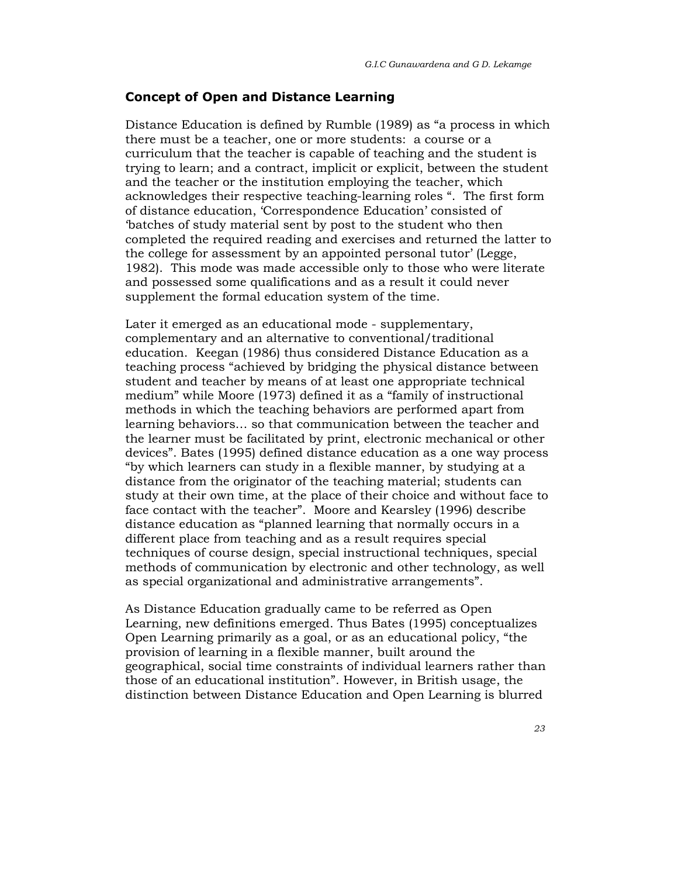### Concept of Open and Distance Learning

Distance Education is defined by Rumble (1989) as "a process in which there must be a teacher, one or more students: a course or a curriculum that the teacher is capable of teaching and the student is trying to learn; and a contract, implicit or explicit, between the student and the teacher or the institution employing the teacher, which acknowledges their respective teaching-learning roles ". The first form of distance education, 'Correspondence Education' consisted of 'batches of study material sent by post to the student who then completed the required reading and exercises and returned the latter to the college for assessment by an appointed personal tutor' (Legge, 1982). This mode was made accessible only to those who were literate and possessed some qualifications and as a result it could never supplement the formal education system of the time.

Later it emerged as an educational mode - supplementary, complementary and an alternative to conventional/traditional education. Keegan (1986) thus considered Distance Education as a teaching process "achieved by bridging the physical distance between student and teacher by means of at least one appropriate technical medium" while Moore (1973) defined it as a "family of instructional methods in which the teaching behaviors are performed apart from learning behaviors… so that communication between the teacher and the learner must be facilitated by print, electronic mechanical or other devices". Bates (1995) defined distance education as a one way process "by which learners can study in a flexible manner, by studying at a distance from the originator of the teaching material; students can study at their own time, at the place of their choice and without face to face contact with the teacher". Moore and Kearsley (1996) describe distance education as "planned learning that normally occurs in a different place from teaching and as a result requires special techniques of course design, special instructional techniques, special methods of communication by electronic and other technology, as well as special organizational and administrative arrangements".

As Distance Education gradually came to be referred as Open Learning, new definitions emerged. Thus Bates (1995) conceptualizes Open Learning primarily as a goal, or as an educational policy, "the provision of learning in a flexible manner, built around the geographical, social time constraints of individual learners rather than those of an educational institution". However, in British usage, the distinction between Distance Education and Open Learning is blurred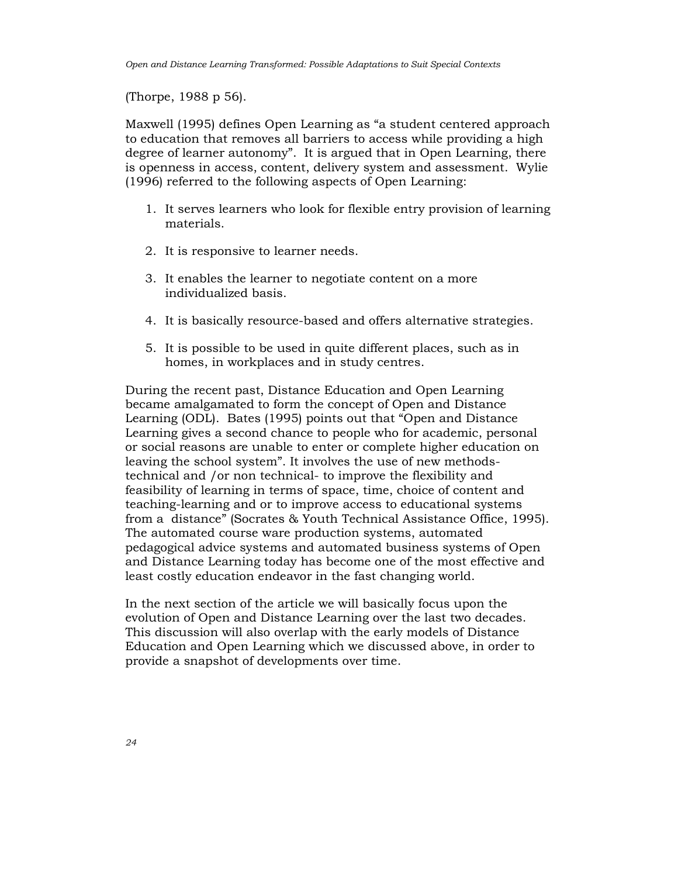(Thorpe, 1988 p 56).

Maxwell (1995) defines Open Learning as "a student centered approach to education that removes all barriers to access while providing a high degree of learner autonomy". It is argued that in Open Learning, there is openness in access, content, delivery system and assessment. Wylie (1996) referred to the following aspects of Open Learning:

- 1. It serves learners who look for flexible entry provision of learning materials.
- 2. It is responsive to learner needs.
- 3. It enables the learner to negotiate content on a more individualized basis.
- 4. It is basically resource-based and offers alternative strategies.
- 5. It is possible to be used in quite different places, such as in homes, in workplaces and in study centres.

During the recent past, Distance Education and Open Learning became amalgamated to form the concept of Open and Distance Learning (ODL). Bates (1995) points out that "Open and Distance Learning gives a second chance to people who for academic, personal or social reasons are unable to enter or complete higher education on leaving the school system". It involves the use of new methodstechnical and /or non technical- to improve the flexibility and feasibility of learning in terms of space, time, choice of content and teaching-learning and or to improve access to educational systems from a distance" (Socrates & Youth Technical Assistance Office, 1995). The automated course ware production systems, automated pedagogical advice systems and automated business systems of Open and Distance Learning today has become one of the most effective and least costly education endeavor in the fast changing world.

In the next section of the article we will basically focus upon the evolution of Open and Distance Learning over the last two decades. This discussion will also overlap with the early models of Distance Education and Open Learning which we discussed above, in order to provide a snapshot of developments over time.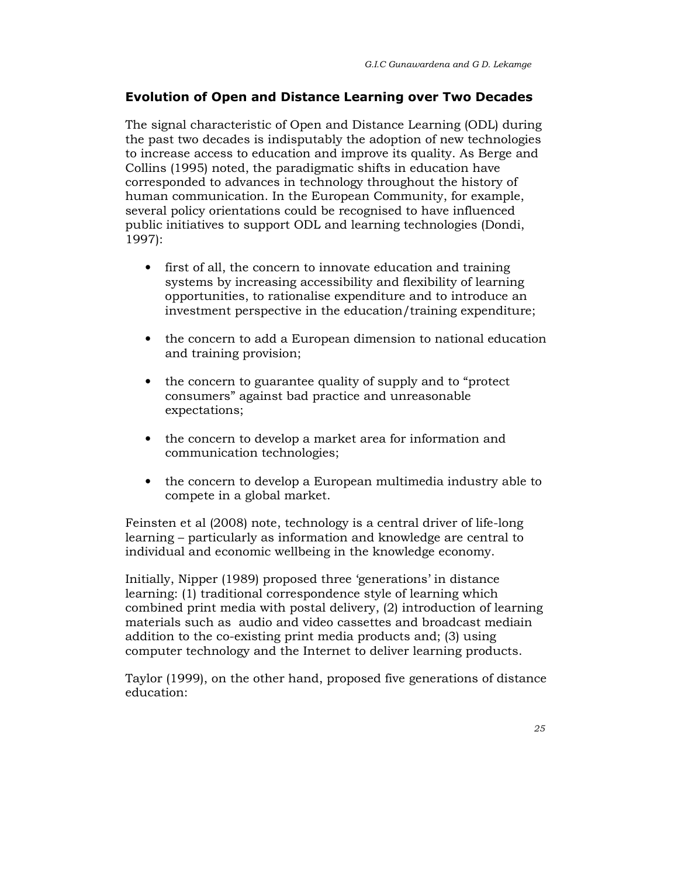# Evolution of Open and Distance Learning over Two Decades

The signal characteristic of Open and Distance Learning (ODL) during the past two decades is indisputably the adoption of new technologies to increase access to education and improve its quality. As Berge and Collins (1995) noted, the paradigmatic shifts in education have corresponded to advances in technology throughout the history of human communication. In the European Community, for example, several policy orientations could be recognised to have influenced public initiatives to support ODL and learning technologies (Dondi, 1997):

- first of all, the concern to innovate education and training systems by increasing accessibility and flexibility of learning opportunities, to rationalise expenditure and to introduce an investment perspective in the education/training expenditure;
- the concern to add a European dimension to national education and training provision;
- the concern to guarantee quality of supply and to "protect" consumers" against bad practice and unreasonable expectations;
- the concern to develop a market area for information and communication technologies;
- the concern to develop a European multimedia industry able to compete in a global market.

Feinsten et al (2008) note, technology is a central driver of life-long learning – particularly as information and knowledge are central to individual and economic wellbeing in the knowledge economy.

Initially, Nipper (1989) proposed three 'generations' in distance learning: (1) traditional correspondence style of learning which combined print media with postal delivery, (2) introduction of learning materials such as audio and video cassettes and broadcast mediain addition to the co-existing print media products and; (3) using computer technology and the Internet to deliver learning products.

Taylor (1999), on the other hand, proposed five generations of distance education: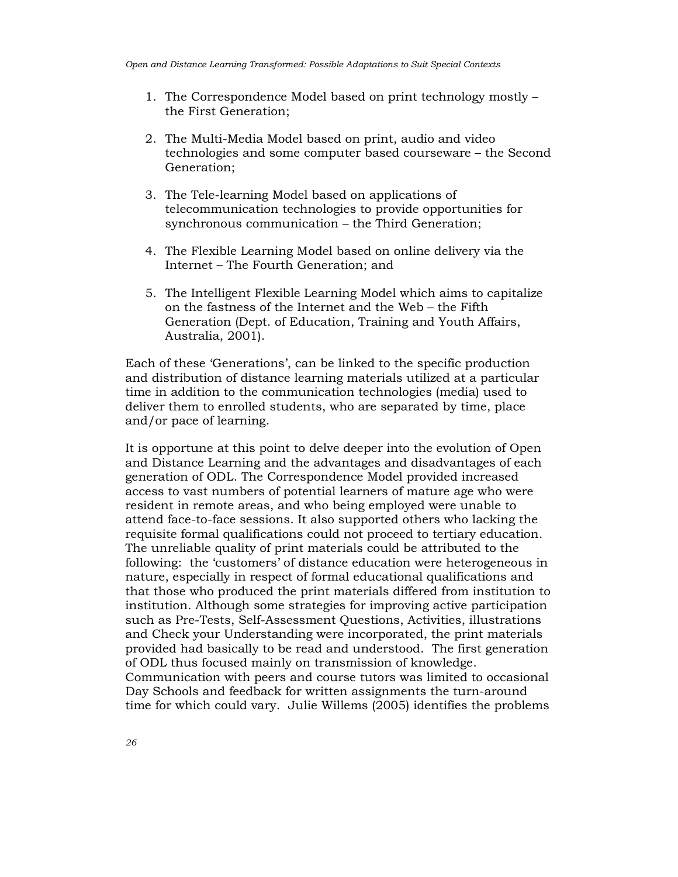- 1. The Correspondence Model based on print technology mostly the First Generation;
- 2. The Multi-Media Model based on print, audio and video technologies and some computer based courseware – the Second Generation;
- 3. The Tele-learning Model based on applications of telecommunication technologies to provide opportunities for synchronous communication – the Third Generation;
- 4. The Flexible Learning Model based on online delivery via the Internet – The Fourth Generation; and
- 5. The Intelligent Flexible Learning Model which aims to capitalize on the fastness of the Internet and the Web – the Fifth Generation (Dept. of Education, Training and Youth Affairs, Australia, 2001).

Each of these 'Generations', can be linked to the specific production and distribution of distance learning materials utilized at a particular time in addition to the communication technologies (media) used to deliver them to enrolled students, who are separated by time, place and/or pace of learning.

It is opportune at this point to delve deeper into the evolution of Open and Distance Learning and the advantages and disadvantages of each generation of ODL. The Correspondence Model provided increased access to vast numbers of potential learners of mature age who were resident in remote areas, and who being employed were unable to attend face-to-face sessions. It also supported others who lacking the requisite formal qualifications could not proceed to tertiary education. The unreliable quality of print materials could be attributed to the following: the 'customers' of distance education were heterogeneous in nature, especially in respect of formal educational qualifications and that those who produced the print materials differed from institution to institution. Although some strategies for improving active participation such as Pre-Tests, Self-Assessment Questions, Activities, illustrations and Check your Understanding were incorporated, the print materials provided had basically to be read and understood. The first generation of ODL thus focused mainly on transmission of knowledge. Communication with peers and course tutors was limited to occasional Day Schools and feedback for written assignments the turn-around time for which could vary. Julie Willems (2005) identifies the problems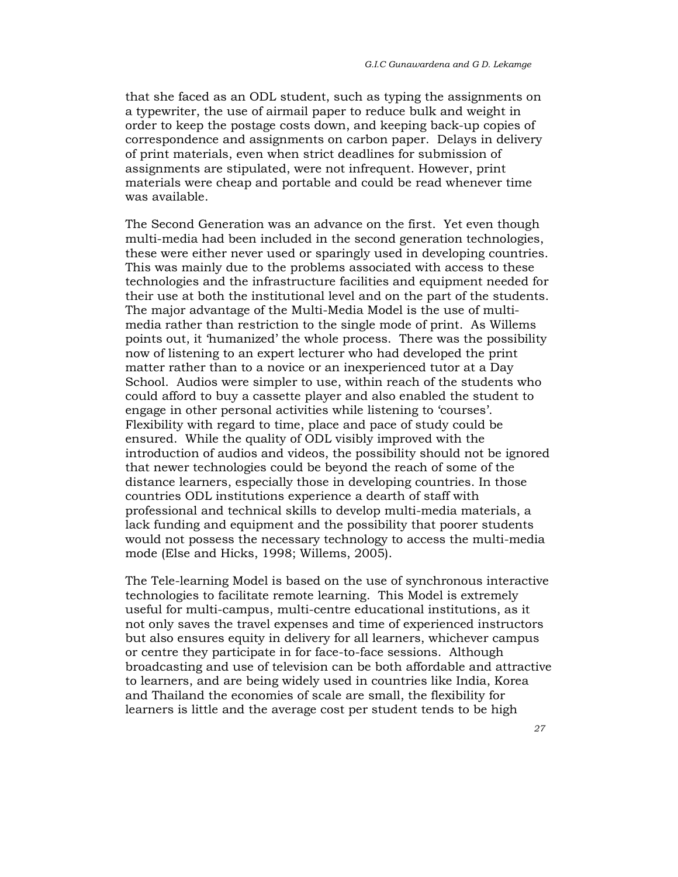that she faced as an ODL student, such as typing the assignments on a typewriter, the use of airmail paper to reduce bulk and weight in order to keep the postage costs down, and keeping back-up copies of correspondence and assignments on carbon paper. Delays in delivery of print materials, even when strict deadlines for submission of assignments are stipulated, were not infrequent. However, print materials were cheap and portable and could be read whenever time was available.

The Second Generation was an advance on the first. Yet even though multi-media had been included in the second generation technologies, these were either never used or sparingly used in developing countries. This was mainly due to the problems associated with access to these technologies and the infrastructure facilities and equipment needed for their use at both the institutional level and on the part of the students. The major advantage of the Multi-Media Model is the use of multimedia rather than restriction to the single mode of print. As Willems points out, it 'humanized' the whole process. There was the possibility now of listening to an expert lecturer who had developed the print matter rather than to a novice or an inexperienced tutor at a Day School. Audios were simpler to use, within reach of the students who could afford to buy a cassette player and also enabled the student to engage in other personal activities while listening to 'courses'. Flexibility with regard to time, place and pace of study could be ensured. While the quality of ODL visibly improved with the introduction of audios and videos, the possibility should not be ignored that newer technologies could be beyond the reach of some of the distance learners, especially those in developing countries. In those countries ODL institutions experience a dearth of staff with professional and technical skills to develop multi-media materials, a lack funding and equipment and the possibility that poorer students would not possess the necessary technology to access the multi-media mode (Else and Hicks, 1998; Willems, 2005).

The Tele-learning Model is based on the use of synchronous interactive technologies to facilitate remote learning. This Model is extremely useful for multi-campus, multi-centre educational institutions, as it not only saves the travel expenses and time of experienced instructors but also ensures equity in delivery for all learners, whichever campus or centre they participate in for face-to-face sessions. Although broadcasting and use of television can be both affordable and attractive to learners, and are being widely used in countries like India, Korea and Thailand the economies of scale are small, the flexibility for learners is little and the average cost per student tends to be high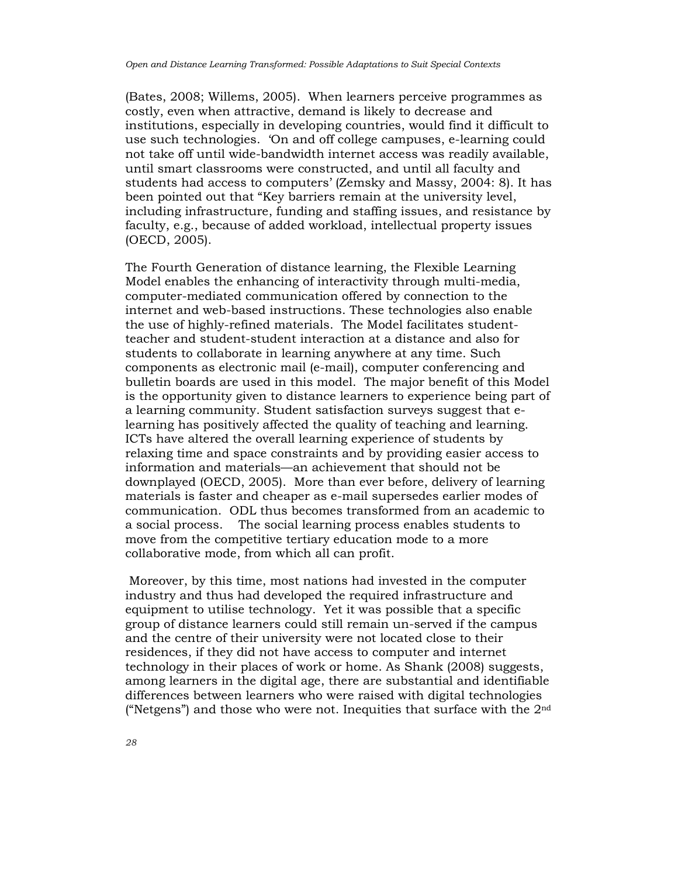(Bates, 2008; Willems, 2005). When learners perceive programmes as costly, even when attractive, demand is likely to decrease and institutions, especially in developing countries, would find it difficult to use such technologies. 'On and off college campuses, e-learning could not take off until wide-bandwidth internet access was readily available, until smart classrooms were constructed, and until all faculty and students had access to computers' (Zemsky and Massy, 2004: 8). It has been pointed out that "Key barriers remain at the university level, including infrastructure, funding and staffing issues, and resistance by faculty, e.g., because of added workload, intellectual property issues (OECD, 2005).

The Fourth Generation of distance learning, the Flexible Learning Model enables the enhancing of interactivity through multi-media, computer-mediated communication offered by connection to the internet and web-based instructions. These technologies also enable the use of highly-refined materials. The Model facilitates studentteacher and student-student interaction at a distance and also for students to collaborate in learning anywhere at any time. Such components as electronic mail (e-mail), computer conferencing and bulletin boards are used in this model. The major benefit of this Model is the opportunity given to distance learners to experience being part of a learning community. Student satisfaction surveys suggest that elearning has positively affected the quality of teaching and learning. ICTs have altered the overall learning experience of students by relaxing time and space constraints and by providing easier access to information and materials—an achievement that should not be downplayed (OECD, 2005). More than ever before, delivery of learning materials is faster and cheaper as e-mail supersedes earlier modes of communication. ODL thus becomes transformed from an academic to a social process. The social learning process enables students to move from the competitive tertiary education mode to a more collaborative mode, from which all can profit.

 Moreover, by this time, most nations had invested in the computer industry and thus had developed the required infrastructure and equipment to utilise technology. Yet it was possible that a specific group of distance learners could still remain un-served if the campus and the centre of their university were not located close to their residences, if they did not have access to computer and internet technology in their places of work or home. As Shank (2008) suggests, among learners in the digital age, there are substantial and identifiable differences between learners who were raised with digital technologies ("Netgens") and those who were not. Inequities that surface with the  $2<sup>nd</sup>$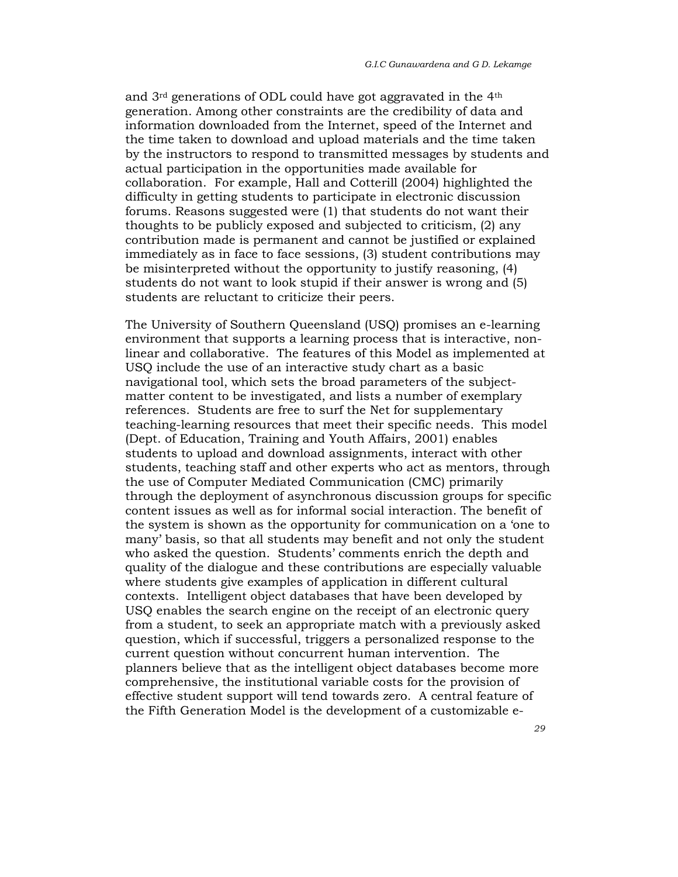and 3rd generations of ODL could have got aggravated in the 4th generation. Among other constraints are the credibility of data and information downloaded from the Internet, speed of the Internet and the time taken to download and upload materials and the time taken by the instructors to respond to transmitted messages by students and actual participation in the opportunities made available for collaboration. For example, Hall and Cotterill (2004) highlighted the difficulty in getting students to participate in electronic discussion forums. Reasons suggested were (1) that students do not want their thoughts to be publicly exposed and subjected to criticism, (2) any contribution made is permanent and cannot be justified or explained immediately as in face to face sessions, (3) student contributions may be misinterpreted without the opportunity to justify reasoning, (4) students do not want to look stupid if their answer is wrong and (5) students are reluctant to criticize their peers.

The University of Southern Queensland (USQ) promises an e-learning environment that supports a learning process that is interactive, nonlinear and collaborative. The features of this Model as implemented at USQ include the use of an interactive study chart as a basic navigational tool, which sets the broad parameters of the subjectmatter content to be investigated, and lists a number of exemplary references. Students are free to surf the Net for supplementary teaching-learning resources that meet their specific needs. This model (Dept. of Education, Training and Youth Affairs, 2001) enables students to upload and download assignments, interact with other students, teaching staff and other experts who act as mentors, through the use of Computer Mediated Communication (CMC) primarily through the deployment of asynchronous discussion groups for specific content issues as well as for informal social interaction. The benefit of the system is shown as the opportunity for communication on a 'one to many' basis, so that all students may benefit and not only the student who asked the question. Students' comments enrich the depth and quality of the dialogue and these contributions are especially valuable where students give examples of application in different cultural contexts. Intelligent object databases that have been developed by USQ enables the search engine on the receipt of an electronic query from a student, to seek an appropriate match with a previously asked question, which if successful, triggers a personalized response to the current question without concurrent human intervention. The planners believe that as the intelligent object databases become more comprehensive, the institutional variable costs for the provision of effective student support will tend towards zero. A central feature of the Fifth Generation Model is the development of a customizable e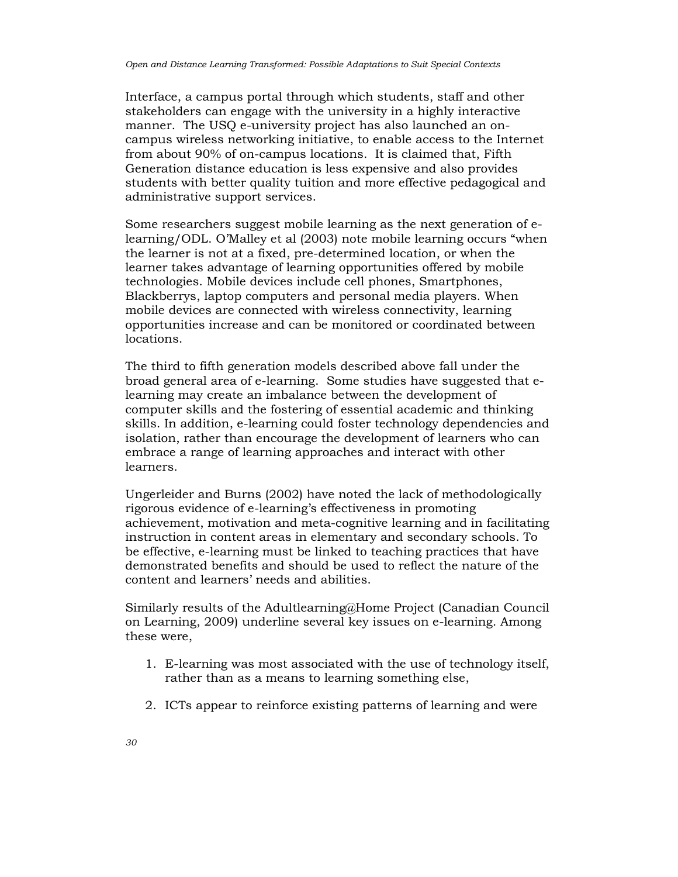Interface, a campus portal through which students, staff and other stakeholders can engage with the university in a highly interactive manner. The USQ e-university project has also launched an oncampus wireless networking initiative, to enable access to the Internet from about 90% of on-campus locations. It is claimed that, Fifth Generation distance education is less expensive and also provides students with better quality tuition and more effective pedagogical and administrative support services.

Some researchers suggest mobile learning as the next generation of elearning/ODL. O'Malley et al (2003) note mobile learning occurs "when the learner is not at a fixed, pre-determined location, or when the learner takes advantage of learning opportunities offered by mobile technologies. Mobile devices include cell phones, Smartphones, Blackberrys, laptop computers and personal media players. When mobile devices are connected with wireless connectivity, learning opportunities increase and can be monitored or coordinated between locations.

The third to fifth generation models described above fall under the broad general area of e-learning. Some studies have suggested that elearning may create an imbalance between the development of computer skills and the fostering of essential academic and thinking skills. In addition, e-learning could foster technology dependencies and isolation, rather than encourage the development of learners who can embrace a range of learning approaches and interact with other learners.

Ungerleider and Burns (2002) have noted the lack of methodologically rigorous evidence of e-learning's effectiveness in promoting achievement, motivation and meta-cognitive learning and in facilitating instruction in content areas in elementary and secondary schools. To be effective, e-learning must be linked to teaching practices that have demonstrated benefits and should be used to reflect the nature of the content and learners' needs and abilities.

Similarly results of the Adultlearning@Home Project (Canadian Council on Learning, 2009) underline several key issues on e-learning. Among these were,

- 1. E-learning was most associated with the use of technology itself, rather than as a means to learning something else,
- 2. ICTs appear to reinforce existing patterns of learning and were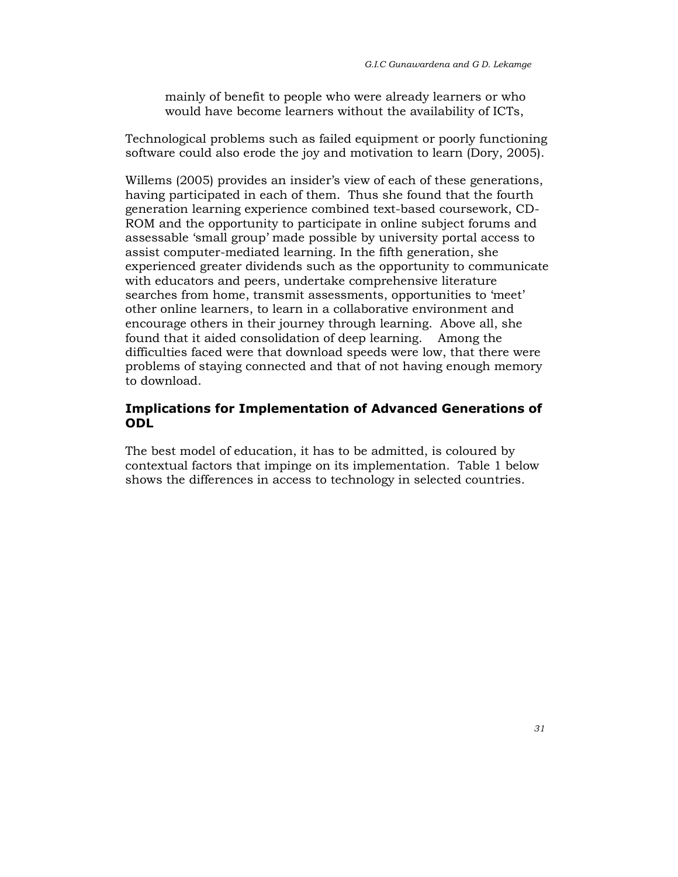mainly of benefit to people who were already learners or who would have become learners without the availability of ICTs,

Technological problems such as failed equipment or poorly functioning software could also erode the joy and motivation to learn (Dory, 2005).

Willems (2005) provides an insider's view of each of these generations, having participated in each of them. Thus she found that the fourth generation learning experience combined text-based coursework, CD-ROM and the opportunity to participate in online subject forums and assessable 'small group' made possible by university portal access to assist computer-mediated learning. In the fifth generation, she experienced greater dividends such as the opportunity to communicate with educators and peers, undertake comprehensive literature searches from home, transmit assessments, opportunities to 'meet' other online learners, to learn in a collaborative environment and encourage others in their journey through learning. Above all, she found that it aided consolidation of deep learning. Among the difficulties faced were that download speeds were low, that there were problems of staying connected and that of not having enough memory to download.

# Implications for Implementation of Advanced Generations of ODL

The best model of education, it has to be admitted, is coloured by contextual factors that impinge on its implementation. Table 1 below shows the differences in access to technology in selected countries.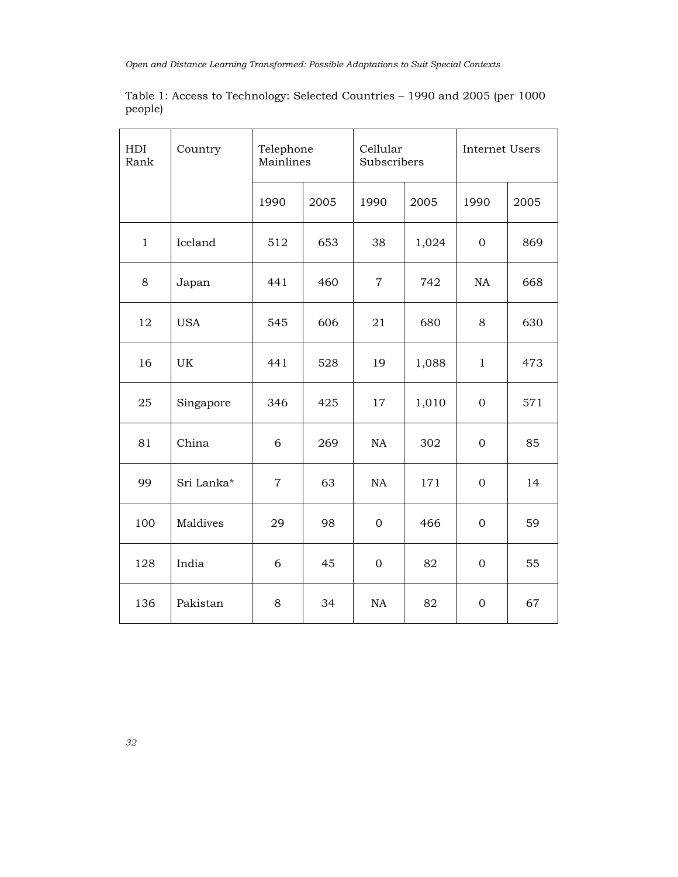| Table 1: Access to Technology: Selected Countries – 1990 and 2005 (per 1000) |  |  |  |
|------------------------------------------------------------------------------|--|--|--|
| people)                                                                      |  |  |  |

| HDI<br>Rank  | Country    | Telephone<br>Mainlines |      | Cellular<br>Subscribers |       | <b>Internet Users</b> |      |
|--------------|------------|------------------------|------|-------------------------|-------|-----------------------|------|
|              |            | 1990                   | 2005 | 1990                    | 2005  | 1990                  | 2005 |
| $\mathbf{1}$ | Iceland    | 512                    | 653  | 38                      | 1,024 | $\mathbf{0}$          | 869  |
| 8            | Japan      | 441                    | 460  | $\boldsymbol{7}$        | 742   | NA                    | 668  |
| 12           | <b>USA</b> | 545                    | 606  | 21                      | 680   | 8                     | 630  |
| 16           | UK         | 441                    | 528  | 19                      | 1,088 | $\mathbf{1}$          | 473  |
| 25           | Singapore  | 346                    | 425  | 17                      | 1,010 | $\mathbf{0}$          | 571  |
| 81           | China      | 6                      | 269  | NA                      | 302   | $\overline{0}$        | 85   |
| 99           | Sri Lanka* | $\overline{7}$         | 63   | NA                      | 171   | $\overline{0}$        | 14   |
| 100          | Maldives   | 29                     | 98   | $\mathbf{0}$            | 466   | $\mathbf{0}$          | 59   |
| 128          | India      | 6                      | 45   | $\mathbf{0}$            | 82    | $\overline{0}$        | 55   |
| 136          | Pakistan   | 8                      | 34   | NA                      | 82    | $\boldsymbol{0}$      | 67   |

32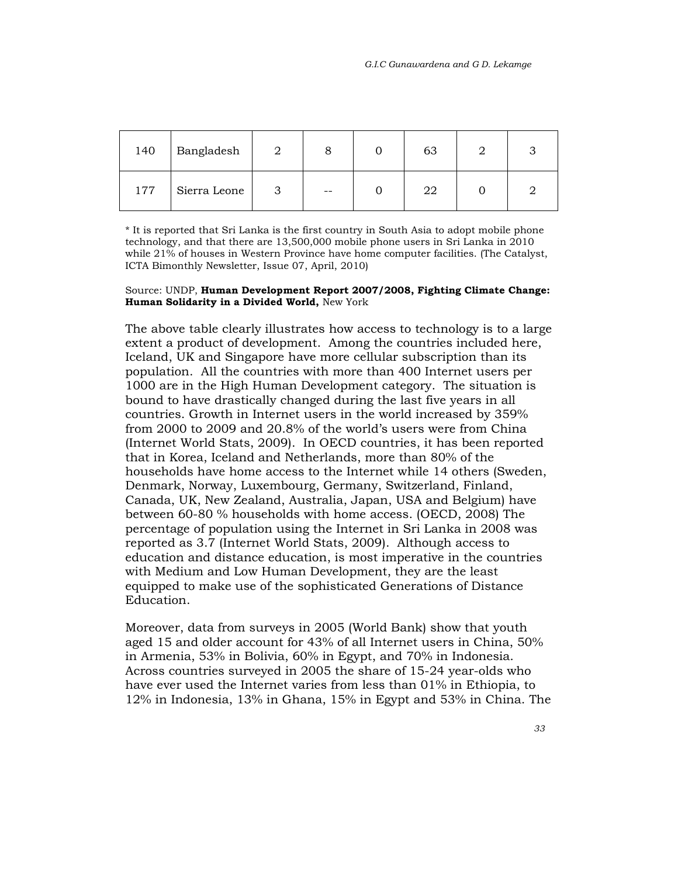| 140 | Bangladesh   |  | 63 |  |
|-----|--------------|--|----|--|
| 177 | Sierra Leone |  | 22 |  |

\* It is reported that Sri Lanka is the first country in South Asia to adopt mobile phone technology, and that there are 13,500,000 mobile phone users in Sri Lanka in 2010 while 21% of houses in Western Province have home computer facilities. (The Catalyst, ICTA Bimonthly Newsletter, Issue 07, April, 2010)

#### Source: UNDP, Human Development Report 2007/2008, Fighting Climate Change: Human Solidarity in a Divided World, New York

The above table clearly illustrates how access to technology is to a large extent a product of development. Among the countries included here, Iceland, UK and Singapore have more cellular subscription than its population. All the countries with more than 400 Internet users per 1000 are in the High Human Development category. The situation is bound to have drastically changed during the last five years in all countries. Growth in Internet users in the world increased by 359% from 2000 to 2009 and 20.8% of the world's users were from China (Internet World Stats, 2009). In OECD countries, it has been reported that in Korea, Iceland and Netherlands, more than 80% of the households have home access to the Internet while 14 others (Sweden, Denmark, Norway, Luxembourg, Germany, Switzerland, Finland, Canada, UK, New Zealand, Australia, Japan, USA and Belgium) have between 60-80 % households with home access. (OECD, 2008) The percentage of population using the Internet in Sri Lanka in 2008 was reported as 3.7 (Internet World Stats, 2009). Although access to education and distance education, is most imperative in the countries with Medium and Low Human Development, they are the least equipped to make use of the sophisticated Generations of Distance Education.

Moreover, data from surveys in 2005 (World Bank) show that youth aged 15 and older account for 43% of all Internet users in China, 50% in Armenia, 53% in Bolivia, 60% in Egypt, and 70% in Indonesia. Across countries surveyed in 2005 the share of 15-24 year-olds who have ever used the Internet varies from less than 01% in Ethiopia, to 12% in Indonesia, 13% in Ghana, 15% in Egypt and 53% in China. The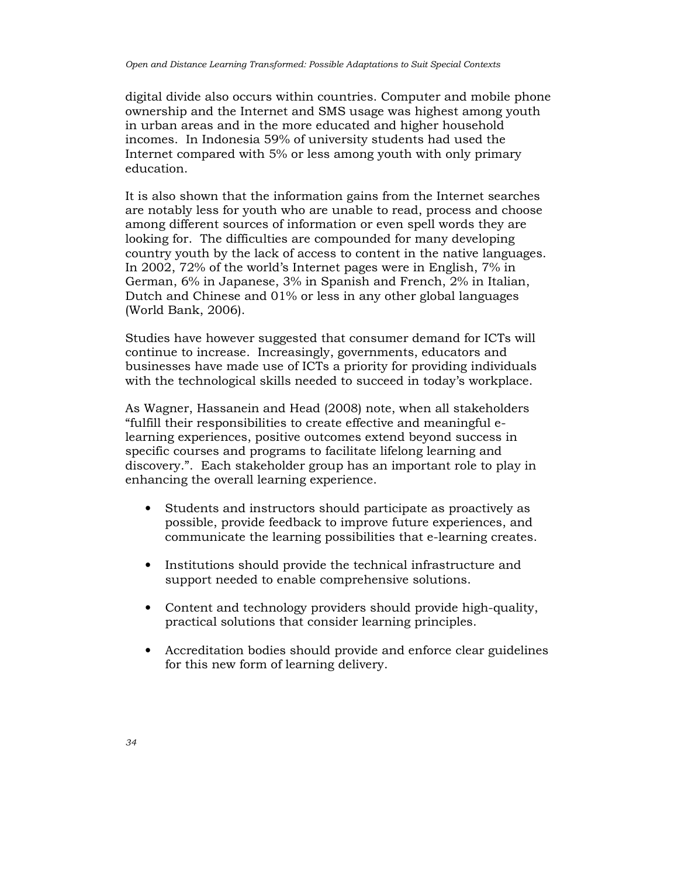digital divide also occurs within countries. Computer and mobile phone ownership and the Internet and SMS usage was highest among youth in urban areas and in the more educated and higher household incomes. In Indonesia 59% of university students had used the Internet compared with 5% or less among youth with only primary education.

It is also shown that the information gains from the Internet searches are notably less for youth who are unable to read, process and choose among different sources of information or even spell words they are looking for. The difficulties are compounded for many developing country youth by the lack of access to content in the native languages. In 2002, 72% of the world's Internet pages were in English, 7% in German, 6% in Japanese, 3% in Spanish and French, 2% in Italian, Dutch and Chinese and 01% or less in any other global languages (World Bank, 2006).

Studies have however suggested that consumer demand for ICTs will continue to increase. Increasingly, governments, educators and businesses have made use of ICTs a priority for providing individuals with the technological skills needed to succeed in today's workplace.

As Wagner, Hassanein and Head (2008) note, when all stakeholders "fulfill their responsibilities to create effective and meaningful elearning experiences, positive outcomes extend beyond success in specific courses and programs to facilitate lifelong learning and discovery.". Each stakeholder group has an important role to play in enhancing the overall learning experience.

- Students and instructors should participate as proactively as possible, provide feedback to improve future experiences, and communicate the learning possibilities that e-learning creates.
- Institutions should provide the technical infrastructure and support needed to enable comprehensive solutions.
- Content and technology providers should provide high-quality, practical solutions that consider learning principles.
- Accreditation bodies should provide and enforce clear guidelines for this new form of learning delivery.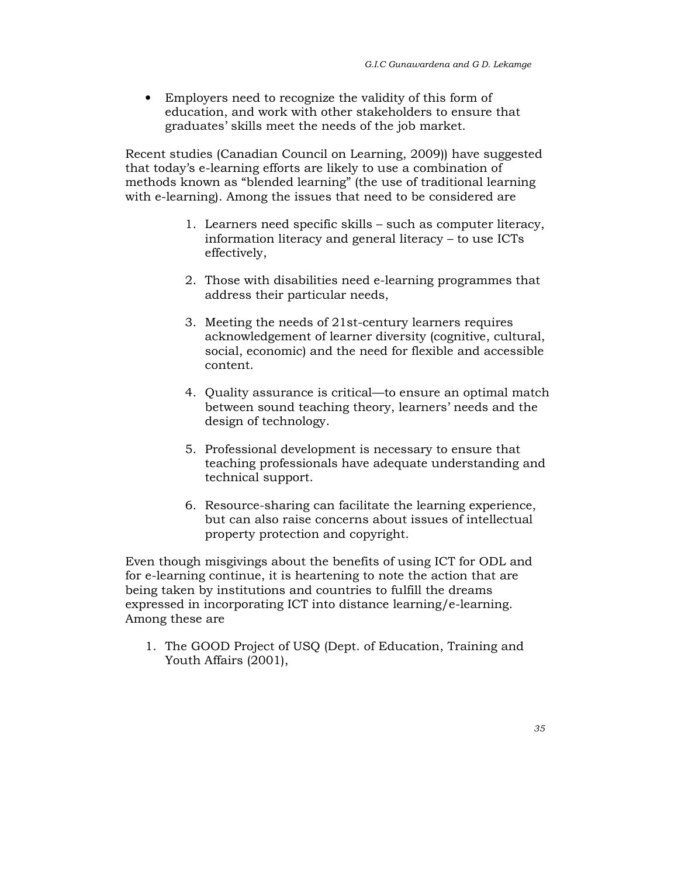• Employers need to recognize the validity of this form of education, and work with other stakeholders to ensure that graduates' skills meet the needs of the job market.

Recent studies (Canadian Council on Learning, 2009)) have suggested that today's e-learning efforts are likely to use a combination of methods known as "blended learning" (the use of traditional learning with e-learning). Among the issues that need to be considered are

- 1. Learners need specific skills such as computer literacy, information literacy and general literacy – to use ICTs effectively,
- 2. Those with disabilities need e-learning programmes that address their particular needs,
- 3. Meeting the needs of 21st-century learners requires acknowledgement of learner diversity (cognitive, cultural, social, economic) and the need for flexible and accessible content.
- 4. Quality assurance is critical—to ensure an optimal match between sound teaching theory, learners' needs and the design of technology.
- 5. Professional development is necessary to ensure that teaching professionals have adequate understanding and technical support.
- 6. Resource-sharing can facilitate the learning experience, but can also raise concerns about issues of intellectual property protection and copyright.

Even though misgivings about the benefits of using ICT for ODL and for e-learning continue, it is heartening to note the action that are being taken by institutions and countries to fulfill the dreams expressed in incorporating ICT into distance learning/e-learning. Among these are

1. The GOOD Project of USQ (Dept. of Education, Training and Youth Affairs (2001),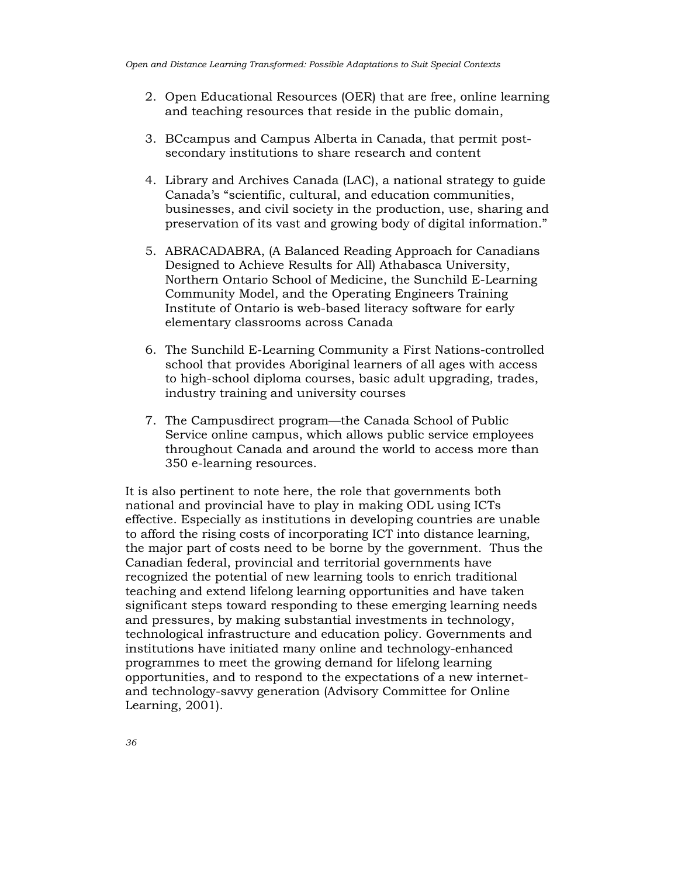- 2. Open Educational Resources (OER) that are free, online learning and teaching resources that reside in the public domain,
- 3. BCcampus and Campus Alberta in Canada, that permit postsecondary institutions to share research and content
- 4. Library and Archives Canada (LAC), a national strategy to guide Canada's "scientific, cultural, and education communities, businesses, and civil society in the production, use, sharing and preservation of its vast and growing body of digital information."
- 5. ABRACADABRA, (A Balanced Reading Approach for Canadians Designed to Achieve Results for All) Athabasca University, Northern Ontario School of Medicine, the Sunchild E-Learning Community Model, and the Operating Engineers Training Institute of Ontario is web-based literacy software for early elementary classrooms across Canada
- 6. The Sunchild E-Learning Community a First Nations-controlled school that provides Aboriginal learners of all ages with access to high-school diploma courses, basic adult upgrading, trades, industry training and university courses
- 7. The Campusdirect program—the Canada School of Public Service online campus, which allows public service employees throughout Canada and around the world to access more than 350 e-learning resources.

It is also pertinent to note here, the role that governments both national and provincial have to play in making ODL using ICTs effective. Especially as institutions in developing countries are unable to afford the rising costs of incorporating ICT into distance learning, the major part of costs need to be borne by the government. Thus the Canadian federal, provincial and territorial governments have recognized the potential of new learning tools to enrich traditional teaching and extend lifelong learning opportunities and have taken significant steps toward responding to these emerging learning needs and pressures, by making substantial investments in technology, technological infrastructure and education policy. Governments and institutions have initiated many online and technology-enhanced programmes to meet the growing demand for lifelong learning opportunities, and to respond to the expectations of a new internetand technology-savvy generation (Advisory Committee for Online Learning, 2001).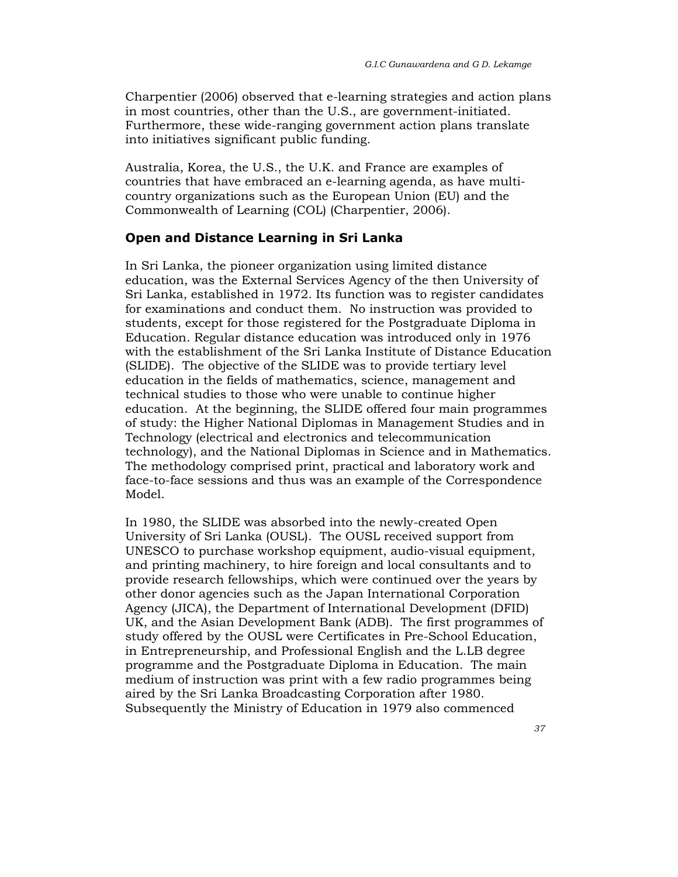Charpentier (2006) observed that e-learning strategies and action plans in most countries, other than the U.S., are government-initiated. Furthermore, these wide-ranging government action plans translate into initiatives significant public funding.

Australia, Korea, the U.S., the U.K. and France are examples of countries that have embraced an e-learning agenda, as have multicountry organizations such as the European Union (EU) and the Commonwealth of Learning (COL) (Charpentier, 2006).

# Open and Distance Learning in Sri Lanka

In Sri Lanka, the pioneer organization using limited distance education, was the External Services Agency of the then University of Sri Lanka, established in 1972. Its function was to register candidates for examinations and conduct them. No instruction was provided to students, except for those registered for the Postgraduate Diploma in Education. Regular distance education was introduced only in 1976 with the establishment of the Sri Lanka Institute of Distance Education (SLIDE). The objective of the SLIDE was to provide tertiary level education in the fields of mathematics, science, management and technical studies to those who were unable to continue higher education. At the beginning, the SLIDE offered four main programmes of study: the Higher National Diplomas in Management Studies and in Technology (electrical and electronics and telecommunication technology), and the National Diplomas in Science and in Mathematics. The methodology comprised print, practical and laboratory work and face-to-face sessions and thus was an example of the Correspondence Model.

In 1980, the SLIDE was absorbed into the newly-created Open University of Sri Lanka (OUSL). The OUSL received support from UNESCO to purchase workshop equipment, audio-visual equipment, and printing machinery, to hire foreign and local consultants and to provide research fellowships, which were continued over the years by other donor agencies such as the Japan International Corporation Agency (JICA), the Department of International Development (DFID) UK, and the Asian Development Bank (ADB). The first programmes of study offered by the OUSL were Certificates in Pre-School Education, in Entrepreneurship, and Professional English and the L.LB degree programme and the Postgraduate Diploma in Education. The main medium of instruction was print with a few radio programmes being aired by the Sri Lanka Broadcasting Corporation after 1980. Subsequently the Ministry of Education in 1979 also commenced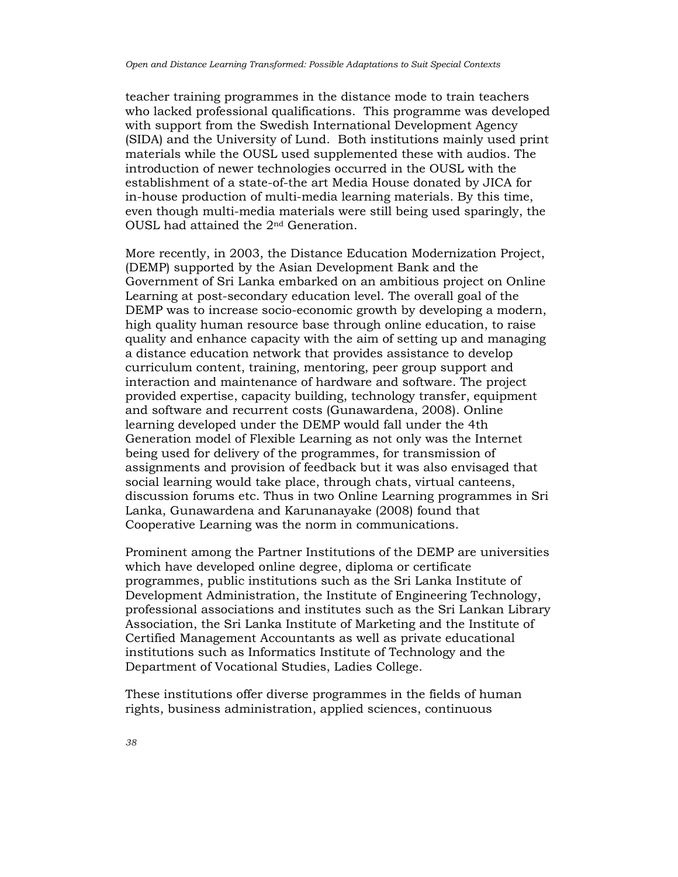teacher training programmes in the distance mode to train teachers who lacked professional qualifications. This programme was developed with support from the Swedish International Development Agency (SIDA) and the University of Lund. Both institutions mainly used print materials while the OUSL used supplemented these with audios. The introduction of newer technologies occurred in the OUSL with the establishment of a state-of-the art Media House donated by JICA for in-house production of multi-media learning materials. By this time, even though multi-media materials were still being used sparingly, the OUSL had attained the 2nd Generation.

More recently, in 2003, the Distance Education Modernization Project, (DEMP) supported by the Asian Development Bank and the Government of Sri Lanka embarked on an ambitious project on Online Learning at post-secondary education level. The overall goal of the DEMP was to increase socio-economic growth by developing a modern, high quality human resource base through online education, to raise quality and enhance capacity with the aim of setting up and managing a distance education network that provides assistance to develop curriculum content, training, mentoring, peer group support and interaction and maintenance of hardware and software. The project provided expertise, capacity building, technology transfer, equipment and software and recurrent costs (Gunawardena, 2008). Online learning developed under the DEMP would fall under the 4th Generation model of Flexible Learning as not only was the Internet being used for delivery of the programmes, for transmission of assignments and provision of feedback but it was also envisaged that social learning would take place, through chats, virtual canteens, discussion forums etc. Thus in two Online Learning programmes in Sri Lanka, Gunawardena and Karunanayake (2008) found that Cooperative Learning was the norm in communications.

Prominent among the Partner Institutions of the DEMP are universities which have developed online degree, diploma or certificate programmes, public institutions such as the Sri Lanka Institute of Development Administration, the Institute of Engineering Technology, professional associations and institutes such as the Sri Lankan Library Association, the Sri Lanka Institute of Marketing and the Institute of Certified Management Accountants as well as private educational institutions such as Informatics Institute of Technology and the Department of Vocational Studies, Ladies College.

These institutions offer diverse programmes in the fields of human rights, business administration, applied sciences, continuous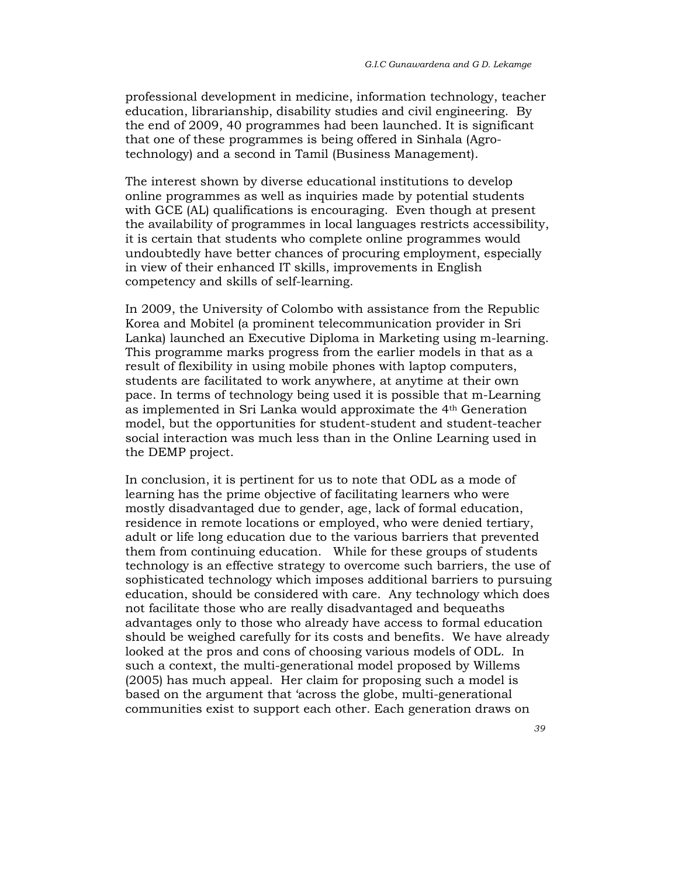professional development in medicine, information technology, teacher education, librarianship, disability studies and civil engineering. By the end of 2009, 40 programmes had been launched. It is significant that one of these programmes is being offered in Sinhala (Agrotechnology) and a second in Tamil (Business Management).

The interest shown by diverse educational institutions to develop online programmes as well as inquiries made by potential students with GCE (AL) qualifications is encouraging. Even though at present the availability of programmes in local languages restricts accessibility, it is certain that students who complete online programmes would undoubtedly have better chances of procuring employment, especially in view of their enhanced IT skills, improvements in English competency and skills of self-learning.

In 2009, the University of Colombo with assistance from the Republic Korea and Mobitel (a prominent telecommunication provider in Sri Lanka) launched an Executive Diploma in Marketing using m-learning. This programme marks progress from the earlier models in that as a result of flexibility in using mobile phones with laptop computers, students are facilitated to work anywhere, at anytime at their own pace. In terms of technology being used it is possible that m-Learning as implemented in Sri Lanka would approximate the 4th Generation model, but the opportunities for student-student and student-teacher social interaction was much less than in the Online Learning used in the DEMP project.

In conclusion, it is pertinent for us to note that ODL as a mode of learning has the prime objective of facilitating learners who were mostly disadvantaged due to gender, age, lack of formal education, residence in remote locations or employed, who were denied tertiary, adult or life long education due to the various barriers that prevented them from continuing education. While for these groups of students technology is an effective strategy to overcome such barriers, the use of sophisticated technology which imposes additional barriers to pursuing education, should be considered with care. Any technology which does not facilitate those who are really disadvantaged and bequeaths advantages only to those who already have access to formal education should be weighed carefully for its costs and benefits. We have already looked at the pros and cons of choosing various models of ODL. In such a context, the multi-generational model proposed by Willems (2005) has much appeal. Her claim for proposing such a model is based on the argument that 'across the globe, multi-generational communities exist to support each other. Each generation draws on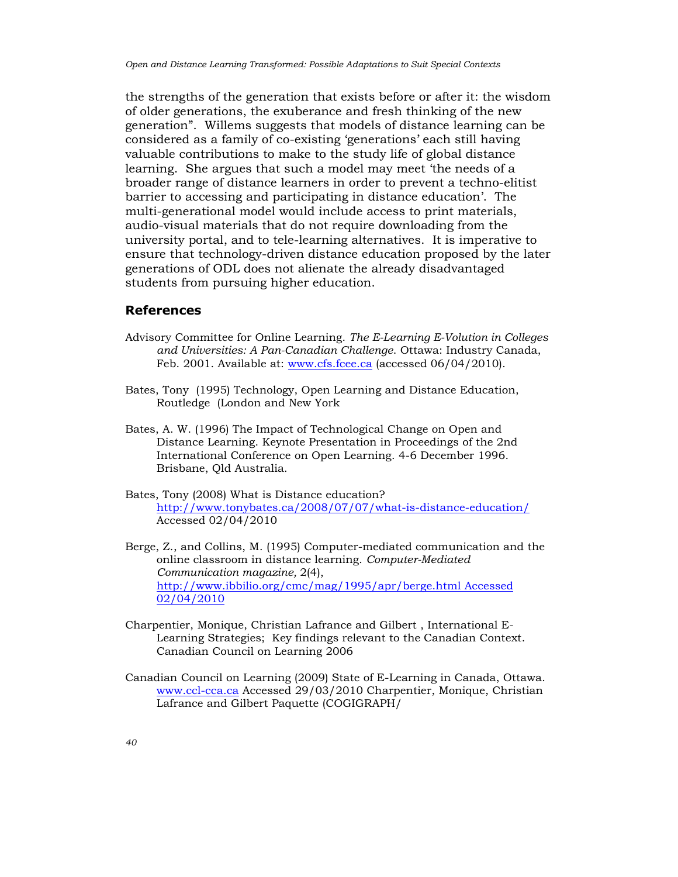the strengths of the generation that exists before or after it: the wisdom of older generations, the exuberance and fresh thinking of the new generation". Willems suggests that models of distance learning can be considered as a family of co-existing 'generations' each still having valuable contributions to make to the study life of global distance learning. She argues that such a model may meet 'the needs of a broader range of distance learners in order to prevent a techno-elitist barrier to accessing and participating in distance education'. The multi-generational model would include access to print materials, audio-visual materials that do not require downloading from the university portal, and to tele-learning alternatives. It is imperative to ensure that technology-driven distance education proposed by the later generations of ODL does not alienate the already disadvantaged students from pursuing higher education.

# References

- Advisory Committee for Online Learning. The E-Learning E-Volution in Colleges and Universities: A Pan-Canadian Challenge. Ottawa: Industry Canada, Feb. 2001. Available at: www.cfs.fcee.ca (accessed 06/04/2010).
- Bates, Tony (1995) Technology, Open Learning and Distance Education, Routledge (London and New York
- Bates, A. W. (1996) The Impact of Technological Change on Open and Distance Learning. Keynote Presentation in Proceedings of the 2nd International Conference on Open Learning. 4-6 December 1996. Brisbane, Qld Australia.
- Bates, Tony (2008) What is Distance education? http://www.tonybates.ca/2008/07/07/what-is-distance-education/ Accessed 02/04/2010
- Berge, Z., and Collins, M. (1995) Computer-mediated communication and the online classroom in distance learning. Computer-Mediated Communication magazine, 2(4), http://www.ibbilio.org/cmc/mag/1995/apr/berge.html Accessed 02/04/2010
- Charpentier, Monique, Christian Lafrance and Gilbert , International E-Learning Strategies; Key findings relevant to the Canadian Context. Canadian Council on Learning 2006
- Canadian Council on Learning (2009) State of E-Learning in Canada, Ottawa. www.ccl-cca.ca Accessed 29/03/2010 Charpentier, Monique, Christian Lafrance and Gilbert Paquette (COGIGRAPH/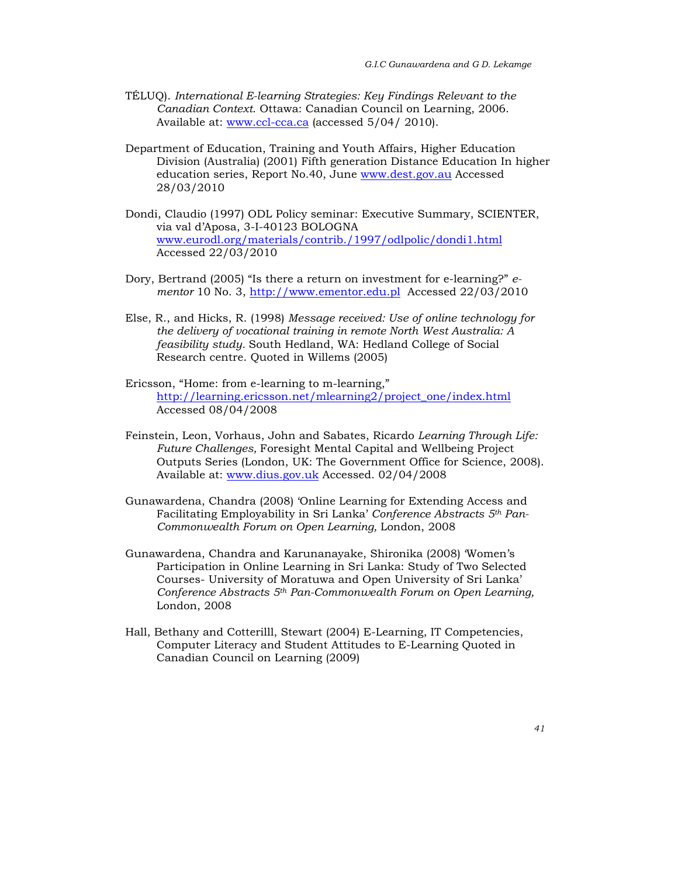- TÉLUQ). International E-learning Strategies: Key Findings Relevant to the Canadian Context. Ottawa: Canadian Council on Learning, 2006. Available at: www.ccl-cca.ca (accessed 5/04/ 2010).
- Department of Education, Training and Youth Affairs, Higher Education Division (Australia) (2001) Fifth generation Distance Education In higher education series, Report No.40, June www.dest.gov.au Accessed 28/03/2010
- Dondi, Claudio (1997) ODL Policy seminar: Executive Summary, SCIENTER, via val d'Aposa, 3-I-40123 BOLOGNA www.eurodl.org/materials/contrib./1997/odlpolic/dondi1.html Accessed 22/03/2010
- Dory, Bertrand (2005) "Is there a return on investment for e-learning?" ementor 10 No. 3, http://www.ementor.edu.pl Accessed 22/03/2010
- Else, R., and Hicks, R. (1998) Message received: Use of online technology for the delivery of vocational training in remote North West Australia: A feasibility study. South Hedland, WA: Hedland College of Social Research centre. Quoted in Willems (2005)
- Ericsson, "Home: from e-learning to m-learning," http://learning.ericsson.net/mlearning2/project\_one/index.html Accessed 08/04/2008
- Feinstein, Leon, Vorhaus, John and Sabates, Ricardo Learning Through Life: Future Challenges, Foresight Mental Capital and Wellbeing Project Outputs Series (London, UK: The Government Office for Science, 2008). Available at: www.dius.gov.uk Accessed. 02/04/2008
- Gunawardena, Chandra (2008) 'Online Learning for Extending Access and Facilitating Employability in Sri Lanka' Conference Abstracts  $5<sup>th</sup> Pan-$ Commonwealth Forum on Open Learning, London, 2008
- Gunawardena, Chandra and Karunanayake, Shironika (2008) 'Women's Participation in Online Learning in Sri Lanka: Study of Two Selected Courses- University of Moratuwa and Open University of Sri Lanka' Conference Abstracts 5th Pan-Commonwealth Forum on Open Learning, London, 2008
- Hall, Bethany and Cotterilll, Stewart (2004) E-Learning, IT Competencies, Computer Literacy and Student Attitudes to E-Learning Quoted in Canadian Council on Learning (2009)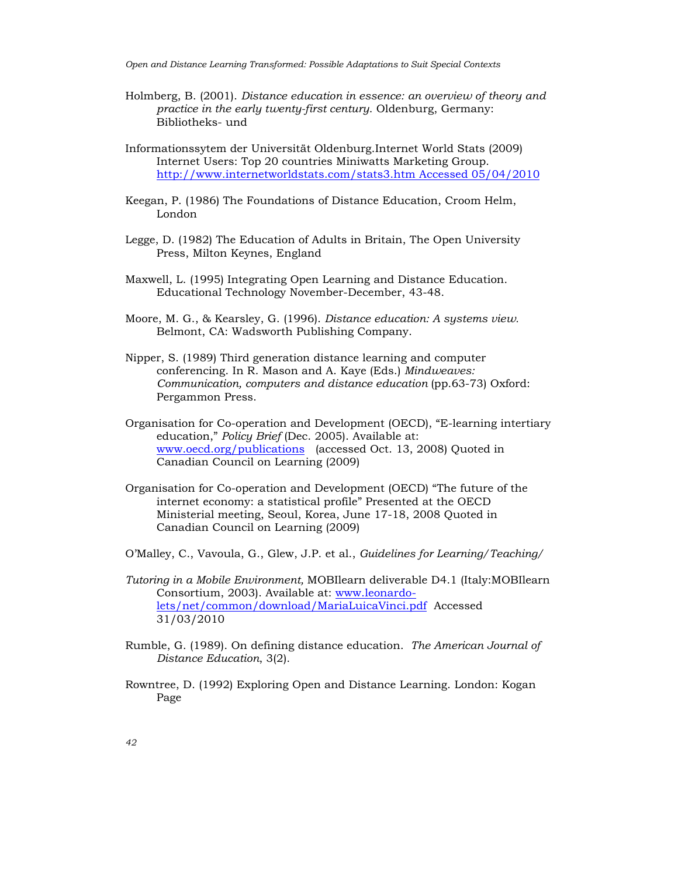Open and Distance Learning Transformed: Possible Adaptations to Suit Special Contexts

- Holmberg, B. (2001). Distance education in essence: an overview of theory and practice in the early twenty-first century. Oldenburg, Germany: Bibliotheks- und
- Informationssytem der Universität Oldenburg.Internet World Stats (2009) Internet Users: Top 20 countries Miniwatts Marketing Group. http://www.internetworldstats.com/stats3.htm Accessed 05/04/2010
- Keegan, P. (1986) The Foundations of Distance Education, Croom Helm, London
- Legge, D. (1982) The Education of Adults in Britain, The Open University Press, Milton Keynes, England
- Maxwell, L. (1995) Integrating Open Learning and Distance Education. Educational Technology November-December, 43-48.
- Moore, M. G., & Kearsley, G. (1996). Distance education: A systems view. Belmont, CA: Wadsworth Publishing Company.
- Nipper, S. (1989) Third generation distance learning and computer conferencing. In R. Mason and A. Kaye (Eds.) Mindweaves: Communication, computers and distance education (pp.63-73) Oxford: Pergammon Press.
- Organisation for Co-operation and Development (OECD), "E-learning intertiary education," Policy Brief (Dec. 2005). Available at: www.oecd.org/publications (accessed Oct. 13, 2008) Quoted in Canadian Council on Learning (2009)
- Organisation for Co-operation and Development (OECD) "The future of the internet economy: a statistical profile" Presented at the OECD Ministerial meeting, Seoul, Korea, June 17-18, 2008 Quoted in Canadian Council on Learning (2009)
- O'Malley, C., Vavoula, G., Glew, J.P. et al., Guidelines for Learning/Teaching/
- Tutoring in a Mobile Environment, MOBIlearn deliverable D4.1 (Italy:MOBIlearn Consortium, 2003). Available at: www.leonardolets/net/common/download/MariaLuicaVinci.pdf Accessed 31/03/2010
- Rumble, G. (1989). On defining distance education. The American Journal of Distance Education, 3(2).
- Rowntree, D. (1992) Exploring Open and Distance Learning. London: Kogan Page